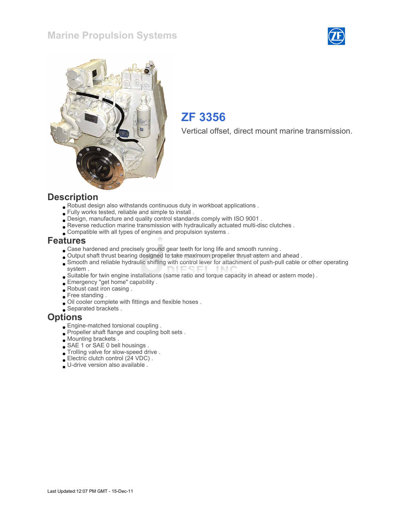### Marine Propulsion Systems





## ZF 3356

Vertical offset, direct mount marine transmission.

#### **Description**

- Robust design also withstands continuous duty in workboat applications .
- Fully works tested, reliable and simple to install .
- Design, manufacture and quality control standards comply with ISO 9001 .
- Reverse reduction marine transmission with hydraulically actuated multi-disc clutches .
- Compatible with all types of engines and propulsion systems .

#### Features

- Case hardened and precisely ground gear teeth for long life and smooth running .
- Output shaft thrust bearing designed to take maximum propeller thrust astern and ahead .
- Smooth and reliable hydraulic shifting with control lever for attachment of push-pull cable or other operating system .
- Suitable for twin engine installations (same ratio and torque capacity in ahead or astern mode) .
- Emergency "get home" capability .
- Robust cast iron casing .
- Free standing .
- Oil cooler complete with fittings and flexible hoses .
- Separated brackets .

#### **Options**

- Engine-matched torsional coupling .
- Propeller shaft flange and coupling bolt sets.
- Mounting brackets .
- SAE 1 or SAE 0 bell housings .
- Trolling valve for slow-speed drive .
- Electric clutch control (24 VDC) .
- U-drive version also available .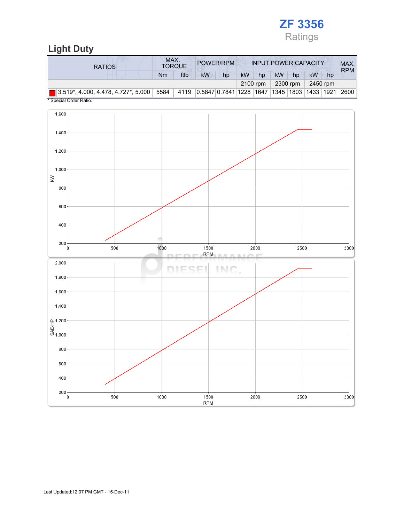

## Light Duty

| <b>RATIOS</b>                                                                                    | MAX. | <b>TORQUE</b> | POWER/RPM<br><b>INPUT POWER CAPACITY</b>         |    |           |    |           |    | MAX.<br><b>RPM</b> |    |                   |
|--------------------------------------------------------------------------------------------------|------|---------------|--------------------------------------------------|----|-----------|----|-----------|----|--------------------|----|-------------------|
|                                                                                                  | Nm   | ftlb          | kW                                               | hp | <b>kW</b> | hp | <b>kW</b> | hp | kW                 | hp |                   |
|                                                                                                  |      | 2100 rpm      | 2300 rpm                                         |    | 2450 rpm  |    |           |    |                    |    |                   |
| $\boxed{2.519^*}$ , 4.000, 4.478, 4.727 $^*$ , 5.000 $\boxed{5584}$<br>$*$ Consider Order Detter |      |               | 4119 0.5847 0.7841 1228 1647 1345 1803 1433 1921 |    |           |    |           |    |                    |    | $^{\circ}$ 2600 l |

Special Order Ratio.

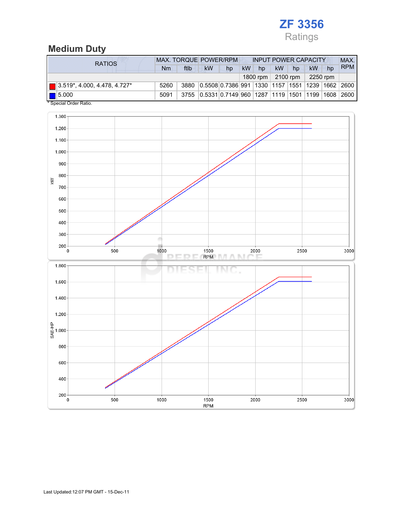## ZF 3356 Ratings

### Medium Duty

| <b>RATIOS</b>                            | <b>MAX. TORQUE POWER/RPM</b> |      |                                                      |    |    | <b>INPUT POWER CAPACITY</b> |           |            |          |    |            |
|------------------------------------------|------------------------------|------|------------------------------------------------------|----|----|-----------------------------|-----------|------------|----------|----|------------|
|                                          | Nm                           | ftlb | kW                                                   | hp | kW | hp                          | <b>kW</b> | hp         | kW       | hp | <b>RPM</b> |
|                                          |                              |      |                                                      |    |    | 1800 rpm                    |           | $2100$ rpm | 2250 rpm |    |            |
| $\boxed{ }$ 3.519*, 4.000, 4.478, 4.727* | 5260                         | 3880 | 0.5508 0.7386 991 1330 1157 1551 1239 1662 2600      |    |    |                             |           |            |          |    |            |
| $\vert$ 5.000                            | 5091                         |      | 3755 0.5331 0.7149 960 1287 1119 1501 1199 1608 2600 |    |    |                             |           |            |          |    |            |
| * Special Order Ratio.                   |                              |      |                                                      |    |    |                             |           |            |          |    |            |

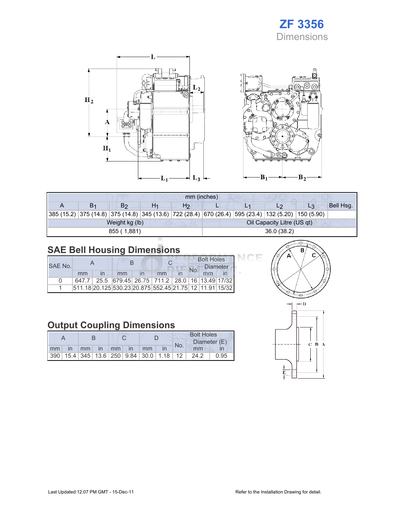## ZF 3356 Dimensions

Œ



| mm (inches) |                                              |                |  |                |            |  |                                                                                                    |       |           |  |  |
|-------------|----------------------------------------------|----------------|--|----------------|------------|--|----------------------------------------------------------------------------------------------------|-------|-----------|--|--|
|             | B <sub>1</sub>                               | B <sub>2</sub> |  | H <sub>2</sub> |            |  |                                                                                                    | $L_3$ | Bell Hsg. |  |  |
|             |                                              |                |  |                |            |  | 385 (15.2) 375 (14.8) 375 (14.8) 345 (13.6) 722 (28.4) 670 (26.4) 595 (23.4) 132 (5.20) 150 (5.90) |       |           |  |  |
|             | Oil Capacity Litre (US qt)<br>Weight kg (lb) |                |  |                |            |  |                                                                                                    |       |           |  |  |
|             |                                              | 855 (1,881)    |  |                | 36.0(38.2) |  |                                                                                                    |       |           |  |  |

## SAE Bell Housing Dimensions

|         |    |                                                         |    |  | <b>Bolt Holes</b> |                 |  |  |
|---------|----|---------------------------------------------------------|----|--|-------------------|-----------------|--|--|
| SAE No. |    |                                                         |    |  |                   | <b>Diameter</b> |  |  |
|         | mm | mm                                                      | mm |  |                   |                 |  |  |
| n       |    | 647.7 25.5 679.45 26.75 711.2 28.0 16 13.49 17/32       |    |  |                   |                 |  |  |
|         |    | 511.18 20.125 530.23 20.875 552.45 21.75 12 11.91 15/32 |    |  |                   |                 |  |  |

## Output Coupling Dimensions

|    |              |                 |          |  |           | <b>Bolt Holes</b>                                       |  |     |              |      |  |
|----|--------------|-----------------|----------|--|-----------|---------------------------------------------------------|--|-----|--------------|------|--|
|    |              |                 |          |  |           |                                                         |  | No. | Diameter (E) |      |  |
| mm | $\mathsf{I}$ | mm <sub>1</sub> | $\ln$ mm |  | <b>in</b> | mm                                                      |  |     | mm           |      |  |
|    |              |                 |          |  |           | 390   15.4   345   13.6   250   9.84   30.0   1.18   12 |  |     | 24.2         | 0.95 |  |



7F

 $B_2$